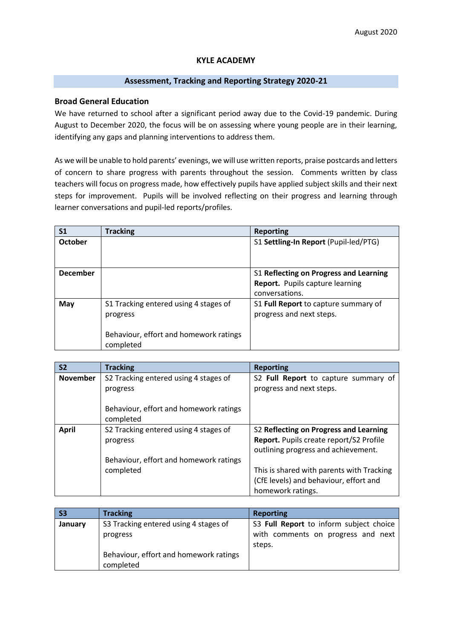### **KYLE ACADEMY**

## **Assessment, Tracking and Reporting Strategy 2020-21**

### **Broad General Education**

We have returned to school after a significant period away due to the Covid-19 pandemic. During August to December 2020, the focus will be on assessing where young people are in their learning, identifying any gaps and planning interventions to address them.

As we will be unable to hold parents' evenings, we will use written reports, praise postcards and letters of concern to share progress with parents throughout the session. Comments written by class teachers will focus on progress made, how effectively pupils have applied subject skills and their next steps for improvement. Pupils will be involved reflecting on their progress and learning through learner conversations and pupil-led reports/profiles.

| S <sub>1</sub>  | <b>Tracking</b>                                                                                          | <b>Reporting</b>                                                                                   |
|-----------------|----------------------------------------------------------------------------------------------------------|----------------------------------------------------------------------------------------------------|
| <b>October</b>  |                                                                                                          | S1 Settling-In Report (Pupil-led/PTG)                                                              |
| <b>December</b> |                                                                                                          | S1 Reflecting on Progress and Learning<br><b>Report.</b> Pupils capture learning<br>conversations. |
| May             | S1 Tracking entered using 4 stages of<br>progress<br>Behaviour, effort and homework ratings<br>completed | S1 Full Report to capture summary of<br>progress and next steps.                                   |

| <b>S2</b>       | <b>Tracking</b>                        | <b>Reporting</b>                               |  |  |  |  |
|-----------------|----------------------------------------|------------------------------------------------|--|--|--|--|
| <b>November</b> | S2 Tracking entered using 4 stages of  | S2 Full Report to capture summary of           |  |  |  |  |
|                 | progress                               | progress and next steps.                       |  |  |  |  |
|                 |                                        |                                                |  |  |  |  |
|                 | Behaviour, effort and homework ratings |                                                |  |  |  |  |
|                 | completed                              |                                                |  |  |  |  |
| <b>April</b>    | S2 Tracking entered using 4 stages of  | S2 Reflecting on Progress and Learning         |  |  |  |  |
|                 | progress                               | <b>Report.</b> Pupils create report/S2 Profile |  |  |  |  |
|                 |                                        | outlining progress and achievement.            |  |  |  |  |
|                 | Behaviour, effort and homework ratings |                                                |  |  |  |  |
|                 | completed                              | This is shared with parents with Tracking      |  |  |  |  |
|                 |                                        | (CfE levels) and behaviour, effort and         |  |  |  |  |
|                 |                                        | homework ratings.                              |  |  |  |  |

| <b>S3</b> | <b>Tracking</b>                                     | <b>Reporting</b>                             |  |  |  |
|-----------|-----------------------------------------------------|----------------------------------------------|--|--|--|
| January   | S3 Tracking entered using 4 stages of               | S3 Full Report to inform subject choice      |  |  |  |
|           | progress                                            | with comments on progress and next<br>steps. |  |  |  |
|           | Behaviour, effort and homework ratings<br>completed |                                              |  |  |  |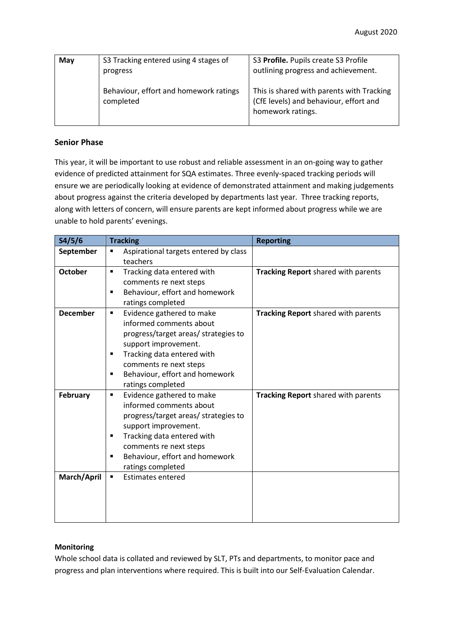| May | S3 Tracking entered using 4 stages of<br>progress   | S3 Profile. Pupils create S3 Profile<br>outlining progress and achievement.                              |  |  |  |
|-----|-----------------------------------------------------|----------------------------------------------------------------------------------------------------------|--|--|--|
|     | Behaviour, effort and homework ratings<br>completed | This is shared with parents with Tracking<br>(CfE levels) and behaviour, effort and<br>homework ratings. |  |  |  |

# **Senior Phase**

This year, it will be important to use robust and reliable assessment in an on-going way to gather evidence of predicted attainment for SQA estimates. Three evenly-spaced tracking periods will ensure we are periodically looking at evidence of demonstrated attainment and making judgements about progress against the criteria developed by departments last year. Three tracking reports, along with letters of concern, will ensure parents are kept informed about progress while we are unable to hold parents' evenings.

| S4/5/6          | <b>Tracking</b>                                  | <b>Reporting</b>                    |  |  |  |
|-----------------|--------------------------------------------------|-------------------------------------|--|--|--|
| September       | Aspirational targets entered by class<br>٠       |                                     |  |  |  |
|                 | teachers                                         |                                     |  |  |  |
| <b>October</b>  | Tracking data entered with<br>$\blacksquare$     | Tracking Report shared with parents |  |  |  |
|                 | comments re next steps                           |                                     |  |  |  |
|                 | Behaviour, effort and homework<br>$\blacksquare$ |                                     |  |  |  |
|                 | ratings completed                                |                                     |  |  |  |
| <b>December</b> | Evidence gathered to make<br>٠                   | Tracking Report shared with parents |  |  |  |
|                 | informed comments about                          |                                     |  |  |  |
|                 | progress/target areas/ strategies to             |                                     |  |  |  |
|                 | support improvement.                             |                                     |  |  |  |
|                 | Tracking data entered with<br>٠                  |                                     |  |  |  |
|                 | comments re next steps                           |                                     |  |  |  |
|                 | Behaviour, effort and homework<br>$\blacksquare$ |                                     |  |  |  |
|                 | ratings completed                                |                                     |  |  |  |
| <b>February</b> | Evidence gathered to make<br>٠                   | Tracking Report shared with parents |  |  |  |
|                 | informed comments about                          |                                     |  |  |  |
|                 | progress/target areas/ strategies to             |                                     |  |  |  |
|                 | support improvement.                             |                                     |  |  |  |
|                 | Tracking data entered with<br>$\blacksquare$     |                                     |  |  |  |
|                 | comments re next steps                           |                                     |  |  |  |
|                 | Behaviour, effort and homework<br>٠              |                                     |  |  |  |
|                 | ratings completed                                |                                     |  |  |  |
| March/April     | <b>Estimates entered</b><br>٠                    |                                     |  |  |  |
|                 |                                                  |                                     |  |  |  |
|                 |                                                  |                                     |  |  |  |
|                 |                                                  |                                     |  |  |  |
|                 |                                                  |                                     |  |  |  |

## **Monitoring**

Whole school data is collated and reviewed by SLT, PTs and departments, to monitor pace and progress and plan interventions where required. This is built into our Self-Evaluation Calendar.